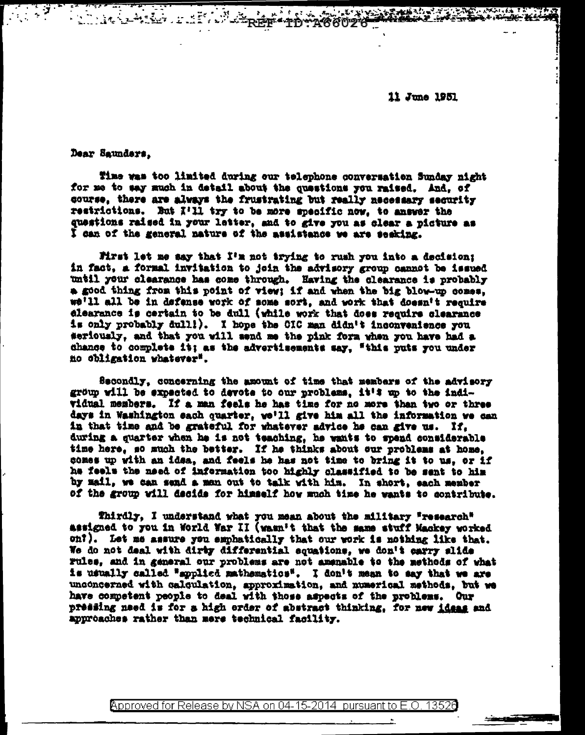11 June 1951

لأولا الأرابية. "سابعة" \*A66026

Dear Saunders,

Time was too limited during our telephone conversation Sunday night for me to say much in detail about the questions you raised. And. of course, there are always the frustrating but really necessary security restrictions. But I'll try to be more specific now, to answer the questions raised in your letter, and to give you as clear a picture as I can of the general nature of the assistance we are seeking.

Mrst let me say that I'm not trying to rush you into a decision; in fact, a formal invitation to join the advisory group cannot be issued until your clearance has come through. Having the clearance is probably a good thing from this point of view; if and when the big blow-up comes, we'll all be in defense work of some sort, and work that doesn't require elearance is certain to be dull (while work that does require clearance is only probably dull!). I hope the CIC man didn't inconvenience you seriously, and that you will send me the pink form when you have had a chance to complete it; as the advertisements say, "this puts you under no obligation whatever".

Secondly, concerning the amount of time that members of the advisory group will be expected to devote to our problems, it's up to the individual members. If a man feels he has time for no more than two or three days in Washington each quarter, we'll give him all the information we can in that time and be grateful for whatever advice he can give us. If, during a quarter when he is not teaching, he wants to spend considerable time here, so much the better. If he thinks about our problems at home. comes up with an idea, and feels he has not time to bring it to us. or if he feels the need of information too highly classified to be sent to him by mail, we can send a man out to talk with him. In short, each member of the group will decide for himself how much time he wants to contribute.

Thirdly, I understand what you mean about the military "research" assigned to you in World War II (wasn't that the same stuff Mackey worked on?). Let me assure you emphatically that our work is nothing like that. We do not deal with dirty differential equations, we don't carry slide rules, and in general our problems are not amenable to the methods of what is usually called "applied mathematics". I don't mean to say that we are unconcerned with calculation, approximation, and numerical methods, but we have competent people to deal with those aspects of the problems. Our pressing need is for a high order of abstract thinking, for new ideas and approaches rather than mere technical facility.